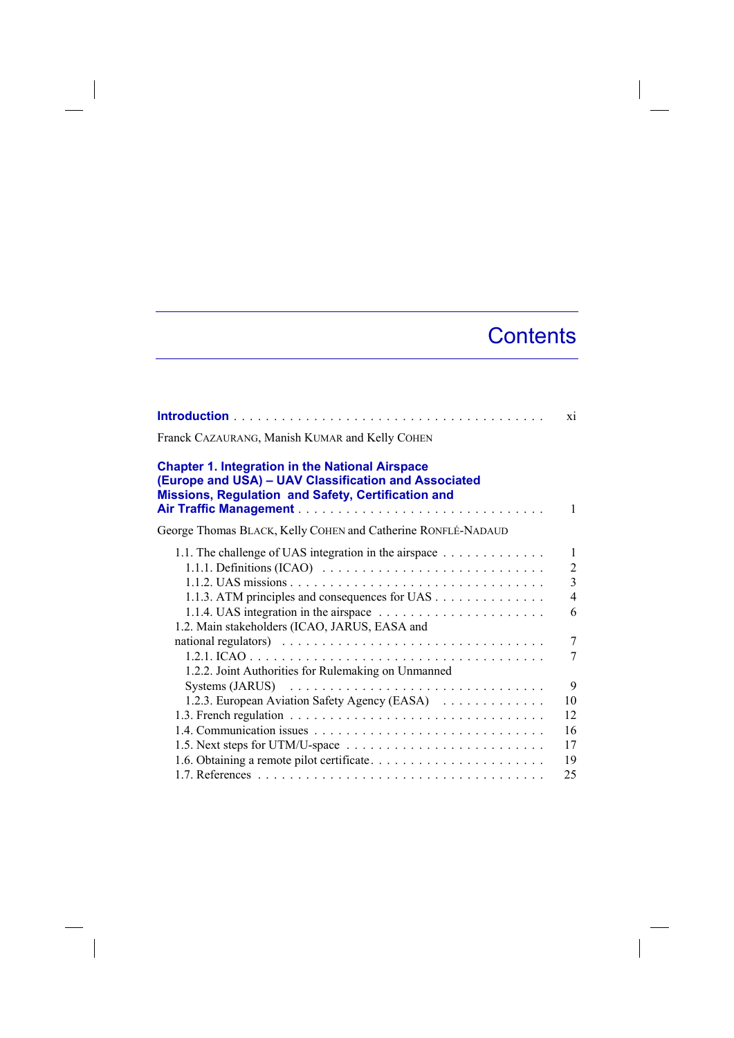## **Contents**

|                                                                                                                                                                      | X1                                                                     |
|----------------------------------------------------------------------------------------------------------------------------------------------------------------------|------------------------------------------------------------------------|
| Franck CAZAURANG, Manish KUMAR and Kelly COHEN                                                                                                                       |                                                                        |
| <b>Chapter 1. Integration in the National Airspace</b><br>(Europe and USA) - UAV Classification and Associated<br>Missions, Regulation and Safety, Certification and | 1                                                                      |
| George Thomas BLACK, Kelly COHEN and Catherine RONFLÉ-NADAUD                                                                                                         |                                                                        |
| 1.1. The challenge of UAS integration in the airspace<br>1.1.3. ATM principles and consequences for UAS<br>1.2. Main stakeholders (ICAO, JARUS, EASA and             | 1<br>$\overline{2}$<br>$\overline{3}$<br>$\overline{4}$<br>6<br>7<br>7 |
| 1.2.2. Joint Authorities for Rulemaking on Unmanned<br>1.2.3. European Aviation Safety Agency (EASA)                                                                 | 9<br>10<br>12                                                          |
|                                                                                                                                                                      | 16<br>17<br>19                                                         |
|                                                                                                                                                                      | 25                                                                     |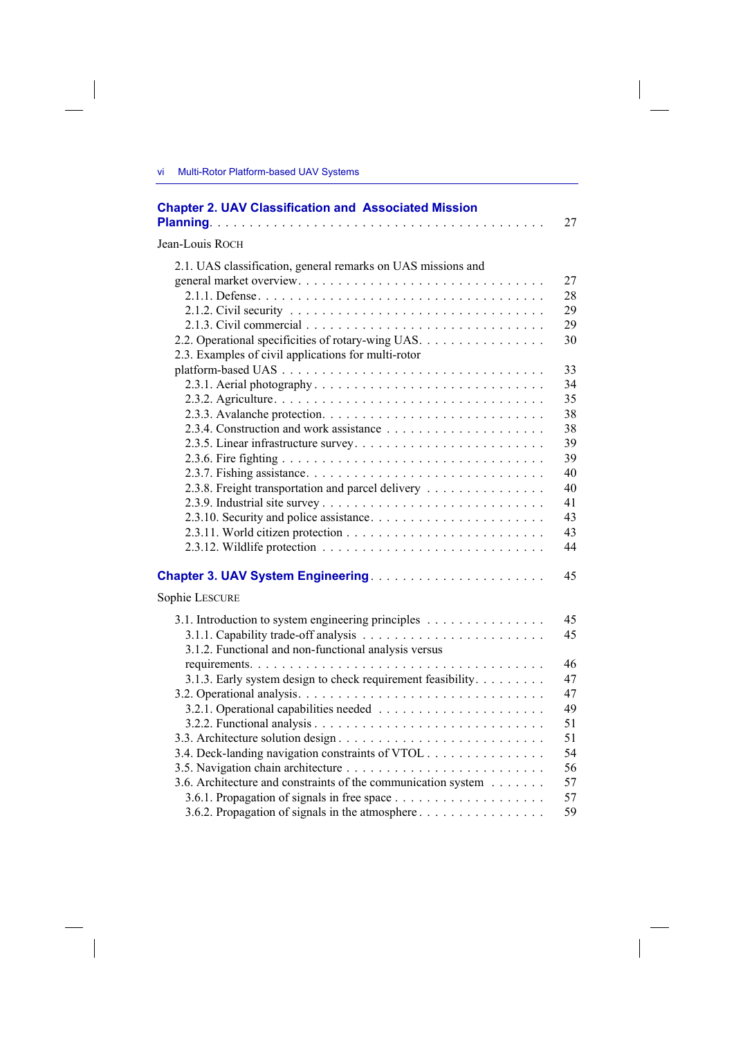$\overline{\phantom{a}}$ 

| <b>Chapter 2. UAV Classification and Associated Mission</b>                                                                                                                                                                                                                       | 27                         |
|-----------------------------------------------------------------------------------------------------------------------------------------------------------------------------------------------------------------------------------------------------------------------------------|----------------------------|
| Jean-Louis ROCH                                                                                                                                                                                                                                                                   |                            |
| 2.1. UAS classification, general remarks on UAS missions and<br>2.1.2. Civil security $\ldots \ldots \ldots \ldots \ldots \ldots \ldots \ldots \ldots \ldots \ldots$<br>2.2. Operational specificities of rotary-wing UAS.<br>2.3. Examples of civil applications for multi-rotor | 27<br>28<br>29<br>29<br>30 |
|                                                                                                                                                                                                                                                                                   | 33                         |
|                                                                                                                                                                                                                                                                                   | 34                         |
|                                                                                                                                                                                                                                                                                   | 35                         |
|                                                                                                                                                                                                                                                                                   | 38                         |
|                                                                                                                                                                                                                                                                                   | 38                         |
|                                                                                                                                                                                                                                                                                   | 39                         |
|                                                                                                                                                                                                                                                                                   | 39                         |
|                                                                                                                                                                                                                                                                                   | 40                         |
| 2.3.8. Freight transportation and parcel delivery                                                                                                                                                                                                                                 | 40                         |
|                                                                                                                                                                                                                                                                                   | 41                         |
|                                                                                                                                                                                                                                                                                   | 43                         |
|                                                                                                                                                                                                                                                                                   | 43                         |
|                                                                                                                                                                                                                                                                                   | 44                         |
| Sophie LESCURE                                                                                                                                                                                                                                                                    | 45                         |
| 3.1. Introduction to system engineering principles<br>3.1.2. Functional and non-functional analysis versus                                                                                                                                                                        | 45<br>45                   |
|                                                                                                                                                                                                                                                                                   | 46                         |
| 3.1.3. Early system design to check requirement feasibility.                                                                                                                                                                                                                      | 47                         |
|                                                                                                                                                                                                                                                                                   | 47                         |
|                                                                                                                                                                                                                                                                                   | 49                         |
|                                                                                                                                                                                                                                                                                   | 51                         |
|                                                                                                                                                                                                                                                                                   | 51                         |
| 3.4. Deck-landing navigation constraints of VTOL                                                                                                                                                                                                                                  | 54                         |
|                                                                                                                                                                                                                                                                                   | 56                         |
| 3.6. Architecture and constraints of the communication system                                                                                                                                                                                                                     | 57                         |
|                                                                                                                                                                                                                                                                                   | 57                         |
|                                                                                                                                                                                                                                                                                   | 59                         |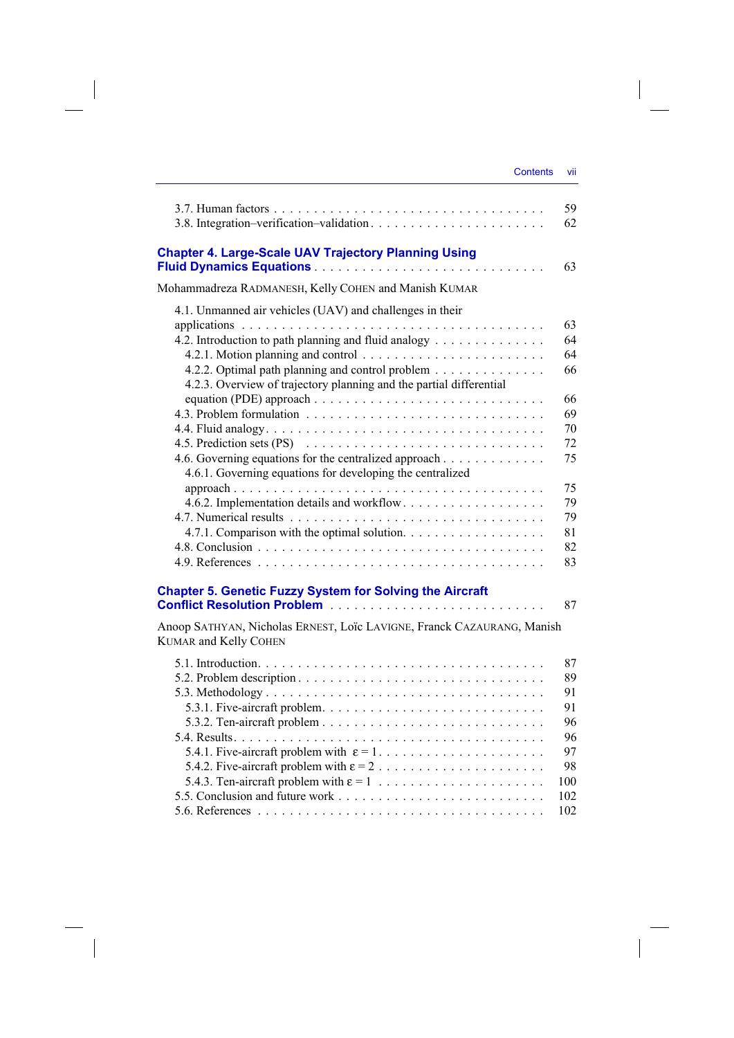| <b>Contents</b> | VII |
|-----------------|-----|
|                 |     |

|                                                                                                        | 59<br>62 |
|--------------------------------------------------------------------------------------------------------|----------|
| <b>Chapter 4. Large-Scale UAV Trajectory Planning Using</b>                                            | 63       |
| Mohammadreza RADMANESH, Kelly COHEN and Manish KUMAR                                                   |          |
| 4.1. Unmanned air vehicles (UAV) and challenges in their                                               |          |
|                                                                                                        | 63       |
| 4.2. Introduction to path planning and fluid analogy                                                   | 64       |
|                                                                                                        | 64       |
| 4.2.2. Optimal path planning and control problem                                                       | 66       |
| 4.2.3. Overview of trajectory planning and the partial differential                                    |          |
|                                                                                                        | 66<br>69 |
|                                                                                                        | 70       |
|                                                                                                        | 72       |
| 4.6. Governing equations for the centralized approach                                                  | 75       |
| 4.6.1. Governing equations for developing the centralized                                              |          |
|                                                                                                        | 75       |
|                                                                                                        | 79       |
|                                                                                                        | 79       |
| 4.7.1. Comparison with the optimal solution.                                                           | 81       |
|                                                                                                        | 82       |
|                                                                                                        | 83       |
| <b>Chapter 5. Genetic Fuzzy System for Solving the Aircraft</b>                                        | 87       |
| Anoop SATHYAN, Nicholas ERNEST, Loïc LAVIGNE, Franck CAZAURANG, Manish<br><b>KUMAR</b> and Kelly COHEN |          |
|                                                                                                        | 87       |
|                                                                                                        | 89       |
|                                                                                                        | 91       |
|                                                                                                        | 91       |
|                                                                                                        | 96       |
|                                                                                                        | 96       |
| 5.4.1. Five-aircraft problem with $\varepsilon = 1, \ldots, \ldots, \ldots, \ldots, \ldots$            | 97       |
|                                                                                                        | 98       |
|                                                                                                        | 100      |
|                                                                                                        | 102      |
|                                                                                                        | 102      |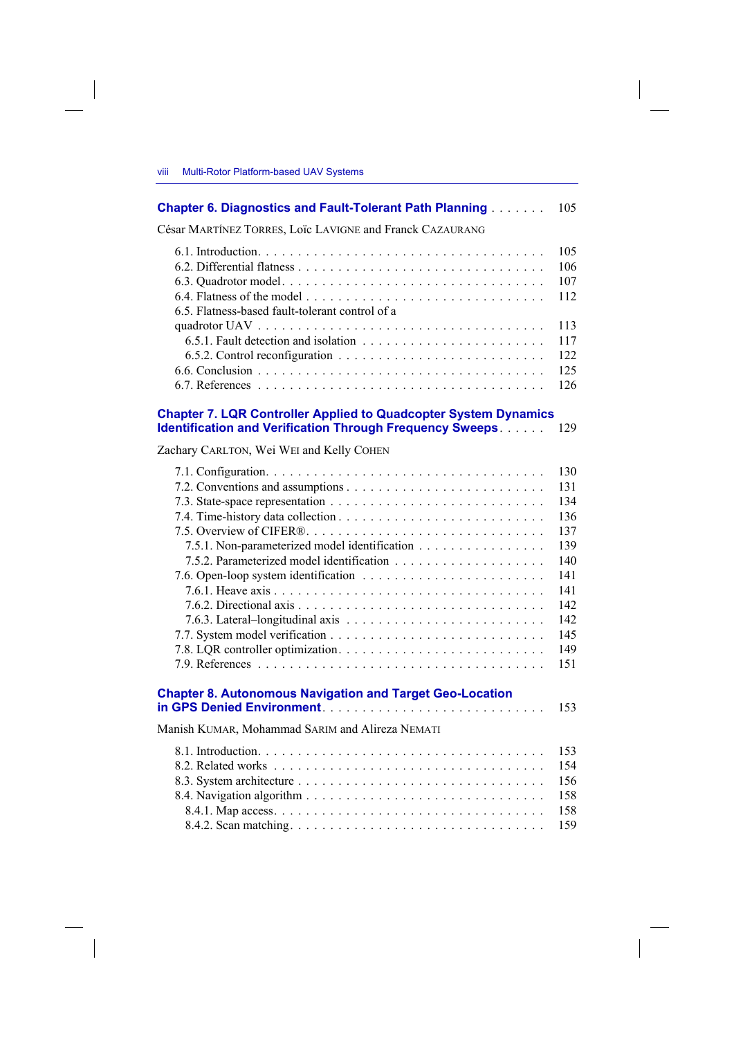| <b>Chapter 6. Diagnostics and Fault-Tolerant Path Planning [1996]</b>                                                                     | 105                                                                                            |
|-------------------------------------------------------------------------------------------------------------------------------------------|------------------------------------------------------------------------------------------------|
| César MARTÍNEZ TORRES, LOÏC LAVIGNE and Franck CAZAURANG                                                                                  |                                                                                                |
| 6.5. Flatness-based fault-tolerant control of a                                                                                           | 105<br>106<br>107<br>112                                                                       |
|                                                                                                                                           | 113<br>117<br>122<br>125<br>126                                                                |
| <b>Chapter 7. LQR Controller Applied to Quadcopter System Dynamics</b><br><b>Identification and Verification Through Frequency Sweeps</b> | 129                                                                                            |
| Zachary CARLTON, Wei WEI and Kelly COHEN                                                                                                  |                                                                                                |
| 7.5.1. Non-parameterized model identification                                                                                             | 130<br>131<br>134<br>136<br>137<br>139<br>140<br>141<br>141<br>142<br>142<br>145<br>149<br>151 |
| <b>Chapter 8. Autonomous Navigation and Target Geo-Location</b>                                                                           | 153                                                                                            |
| Manish KUMAR, Mohammad SARIM and Alireza NEMATI                                                                                           |                                                                                                |
|                                                                                                                                           | 153<br>154<br>156<br>158<br>158                                                                |

8.4.2. Scan matching . . . . . . . . . . . . . . . . . . . . . . . . . . . . . . . . 159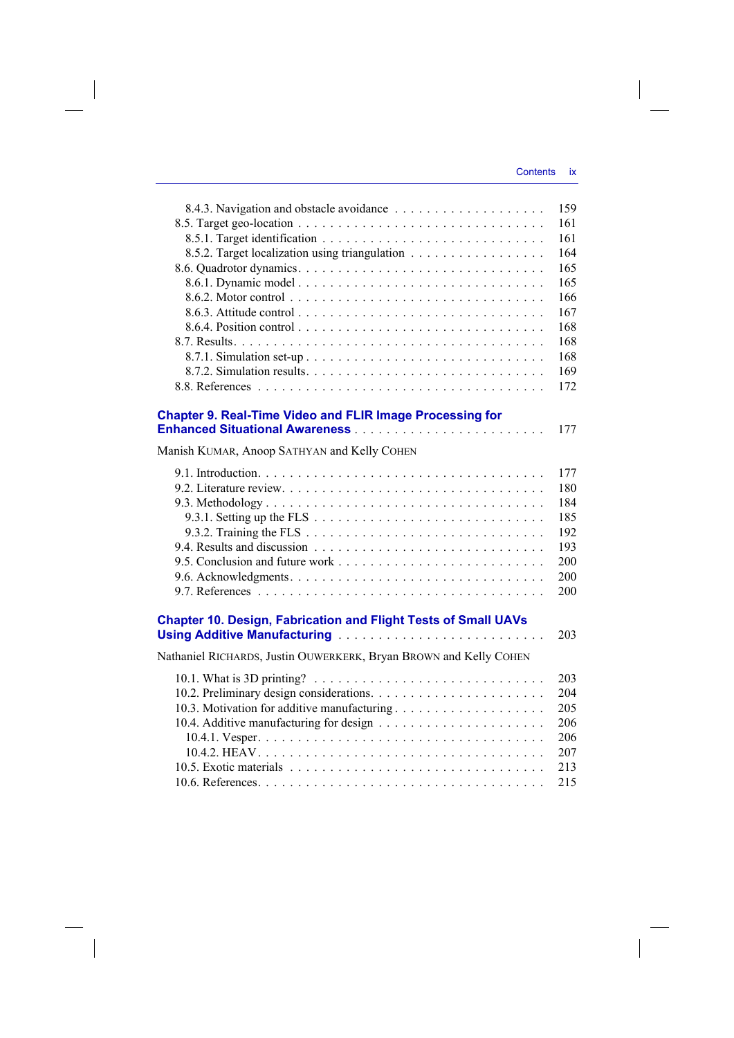$\bigg\}$ 

|                                                                                                   | 159 |
|---------------------------------------------------------------------------------------------------|-----|
|                                                                                                   | 161 |
|                                                                                                   | 161 |
| 8.5.2. Target localization using triangulation                                                    | 164 |
|                                                                                                   | 165 |
|                                                                                                   | 165 |
|                                                                                                   | 166 |
|                                                                                                   | 167 |
|                                                                                                   | 168 |
|                                                                                                   | 168 |
|                                                                                                   | 168 |
|                                                                                                   | 169 |
|                                                                                                   | 172 |
|                                                                                                   |     |
| <b>Chapter 9. Real-Time Video and FLIR Image Processing for</b>                                   |     |
|                                                                                                   | 177 |
| Manish KUMAR, Anoop SATHYAN and Kelly COHEN                                                       |     |
|                                                                                                   | 177 |
|                                                                                                   | 180 |
|                                                                                                   | 184 |
| 9.3.1. Setting up the FLS $\ldots \ldots \ldots \ldots \ldots \ldots \ldots \ldots \ldots \ldots$ | 185 |
|                                                                                                   | 192 |
|                                                                                                   | 193 |
|                                                                                                   | 200 |
|                                                                                                   | 200 |
|                                                                                                   | 200 |
|                                                                                                   |     |
| <b>Chapter 10. Design, Fabrication and Flight Tests of Small UAVs</b>                             |     |
| Using Additive Manufacturing                                                                      | 203 |
| Nathaniel RICHARDS, Justin OUWERKERK, Bryan BROWN and Kelly COHEN                                 |     |
|                                                                                                   | 203 |
|                                                                                                   | 204 |
|                                                                                                   | 205 |
|                                                                                                   | 206 |
|                                                                                                   | 206 |
|                                                                                                   | 207 |
|                                                                                                   | 213 |
|                                                                                                   | 215 |
|                                                                                                   |     |

 $\overline{\phantom{a}}$ 

 $\begin{array}{c} \hline \end{array}$